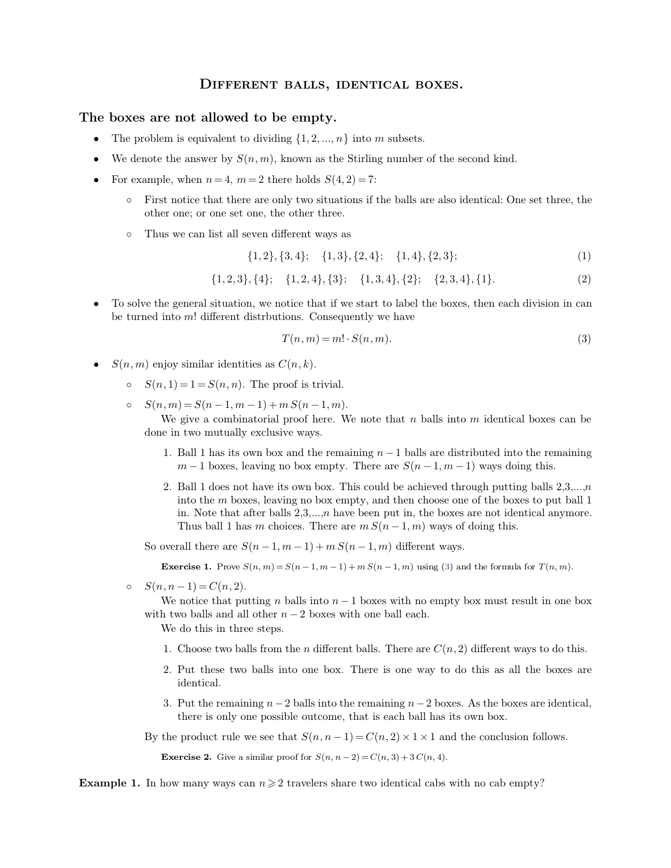## DIFFERENT BALLS, IDENTICAL BOXES.

- 
- 
- 
- **DIFFERENT BALLS, IDENTICAL BOXES.**<br> **The boxes are not allowed to be empty.**<br>
 The problem is equivalent to dividing  $\{1, 2, ..., n\}$  into m subsets.<br>
 We denote the answer by  $S(n, m)$ , known as the Stirling number of the denote the answer by  $S(n, m)$ , known as the Stirling<br>  $\infty$  example, when  $n = 4$ ,  $m = 2$  there holds  $S(4, 2) = 7$ :<br>  $\infty$  First notice that there are only two situations if the other one; or one set one, the other three.<br>
	-

$$
\{1,2\},\{3,4\}; \quad \{1,3\},\{2,4\}; \quad \{1,4\},\{2,3\}; \tag{1}
$$

$$
\{1,2,3\},\{4\}; \{1,2,4\},\{3\}; \{1,3,4\},\{2\}; \{2,3,4\},\{1\}.\tag{2}
$$

Thus we can list all seven different ways as<br>  $\{1,2\}, \{3,4\}; \{1,3\}, \{2,4\}; \{1,4\}, \{2,3\};$  (1)<br>  $\{1,2,3\}, \{4\}; \{1,2,4\}, \{3\}; \{1,3,4\}, \{2\}; \{2,3,4\}, \{1\}.$  (2)<br>
• To solve the general situation, we notice that if we start To solve the general situation, we notice that if we start to label the boxes, then each division in can<br>be turned into  $m!$  different distrbutions. Consequently we have {1,2,3}, {4}; {1,2,4}, {3}; {1,3,4}, {2}; {2,3,4}, {1}. (2)<br>
• To solve the general situation, we notice that if we start to label the boxes, then each division in can<br>
be turned into m! different distrbutions. Consequent

<span id="page-0-0"></span>
$$
T(n,m) = m! \cdot S(n,m). \tag{3}
$$

- -
	-

 $S(n, m)$  enjoy similar identities as  $C(n, k)$ .<br>  $\circ$   $S(n, 1) = 1 = S(n, n)$ . The proof is trivial.<br>  $\circ$   $S(n, m) = S(n - 1, m - 1) + m S(n - 1, m)$ .<br>
We give a combinatorial proof here. Where in two mutually exclusive ways.  $n(n, n) = S(n-1, m-1) + m S(n-1, m).$ <br>We give a combinatorial proof here. We note that *n* balls into *m* identical boxes can be<br>e in two mutually exclusive ways.<br>1. Ball 1 has its own box and the remaining  $n-1$  balls are distribut We give a combinatorial proof here. We note that *n* balls into *m* identical boxes can be in two mutually exclusive ways.<br>
1. Ball 1 has its own box and the remaining  $n-1$  balls are distributed into the remaining  $m-1$ 

- 
- 2. Ball 1 does not have its own box. This could be achieved through putting balls 2,3,...,*n* into the *m* boxes, leaving no box empty. There are  $S(n-1, m-1)$  ways doing this.<br>2. Ball 1 does not have its own box. This coul If two mutually exclusive ways.<br>
Ball 1 has its own box and the remaining  $n-1$  balls are distributed into the remaining  $m-1$  boxes, leaving no box empty. There are  $S(n-1, m-1)$  ways doing this.<br>
Ball 1 does not have its Ball 1 has its own box and the remaining  $n-1$  balls are distributed into the remaining  $m-1$  boxes, leaving no box empty. There are  $S(n-1, m-1)$  ways doing this.<br>Ball 1 does not have its own box. This could be achieved th  $m-1$  boxes, leaving no box empty. There are  $S(n-1, m-1)$  ways doing this.<br>Ball 1 does not have its own box. This could be achieved through putting balls 2,3,...,*n* into the *m* boxes, leaving no box empty, and then choos

So overall there are  $S(n-1, m-1) + m S(n-1, m)$  different ways.

In: Note that after bans 2,0,...,*h* have been put in, the boxes are not identical anymore.<br>Thus ball 1 has m choices. There are  $mS(n-1,m)$  ways of doing this.<br>So overall there are  $S(n-1, m-1) + mS(n-1,m)$  different ways.<br>**Exer Exercise 1.** Prove  $S(n, m) = S(n-1, m-1) + m S(n-1, m)$  using (3) and the formula for  $T(n, m)$ .<br>  $S(n, n-1) = C(n, 2)$ .<br>
We notice that putting *n* balls into  $n-1$  boxes with no empty box must result in one with two balls and all other We notice that putting n balls into  $n-1$  boxes with no empty box must result in one box  $(n-1) = C(n, 2).$ <br>We notice that putting *n* balls into  $n-1$  boxes with no empty box must result in one box<br>1 two balls and all other  $n-2$  boxes with one ball each.<br>We do this in three steps.<br>1. Choose two balls from the *n* 

- 
- 2. Put these two balls into one box. There is one way to do this as all the boxes are identical. identical. 3. Put these two balls into one box. There is one way to do this as all the boxes are identical.<br>3. Put the remaining  $n-2$  balls into the remaining  $n-2$  boxes. As the boxes are identical, there is only one possible outc Choose two balls into one box. There is one way to do this as all therefore the term initial.<br>Put the remaining  $n-2$  balls into the remaining  $n-2$  boxes. As the boxes it there is only one possible outcome, that is each
- By the product rule we see that  $S(n, n-1) = C(n, 2) \times 1 \times 1$  and the conclusion follows.<br>**Exercise 2.** Give a similar proof for  $S(n, n-2) = C(n, 3) + 3C(n, 4)$ .

By the product rule we see that  $S(n, n-1) = C(n, 2) \times 1 \times 1$  and the conclusion follows. there is only one possible outcome, that is each ball has its own box.<br>the product rule we see that  $S(n, n-1) = C(n, 2) \times 1 \times 1$  and the conclusion-<br>**Exercise 2.** Give a similar proof for  $S(n, n-2) = C(n, 3) + 3 C(n, 4)$ .

**Example 1.** In how many ways can  $n \geq 2$  travelers share two identical cabs with no cab empty?